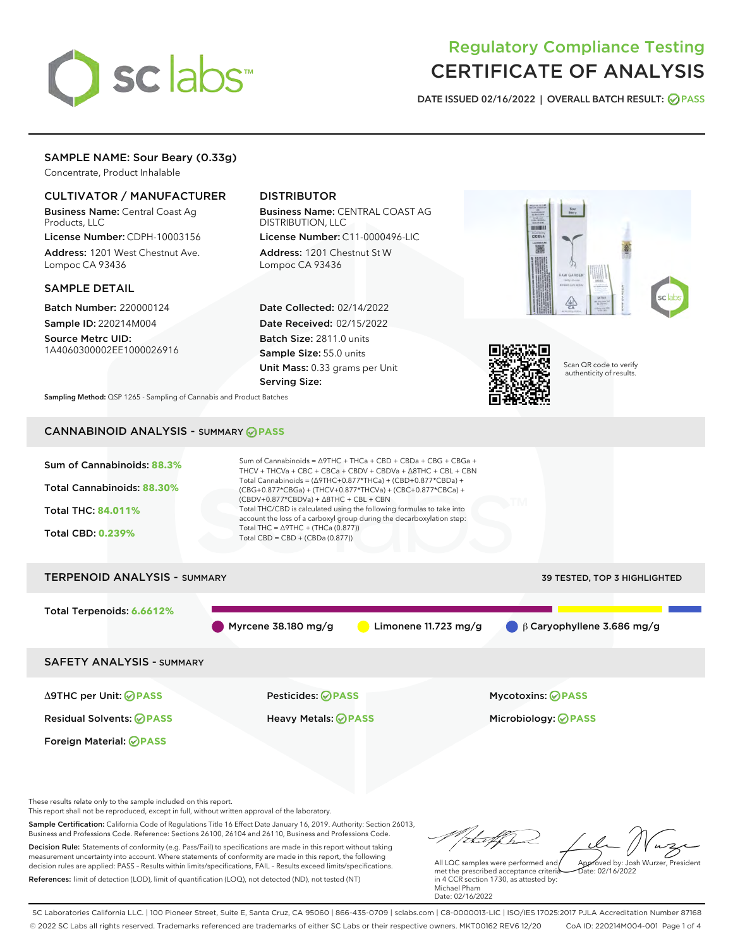

# Regulatory Compliance Testing CERTIFICATE OF ANALYSIS

DATE ISSUED 02/16/2022 | OVERALL BATCH RESULT: @ PASS

# SAMPLE NAME: Sour Beary (0.33g)

Concentrate, Product Inhalable

# CULTIVATOR / MANUFACTURER

Business Name: Central Coast Ag Products, LLC

License Number: CDPH-10003156 Address: 1201 West Chestnut Ave. Lompoc CA 93436

### SAMPLE DETAIL

Batch Number: 220000124 Sample ID: 220214M004

Source Metrc UID: 1A4060300002EE1000026916

# DISTRIBUTOR

Business Name: CENTRAL COAST AG DISTRIBUTION, LLC License Number: C11-0000496-LIC

Address: 1201 Chestnut St W Lompoc CA 93436

Date Collected: 02/14/2022 Date Received: 02/15/2022 Batch Size: 2811.0 units Sample Size: 55.0 units Unit Mass: 0.33 grams per Unit Serving Size:





Scan QR code to verify authenticity of results.

Sampling Method: QSP 1265 - Sampling of Cannabis and Product Batches

# CANNABINOID ANALYSIS - SUMMARY **PASS**



Business and Professions Code. Reference: Sections 26100, 26104 and 26110, Business and Professions Code. Decision Rule: Statements of conformity (e.g. Pass/Fail) to specifications are made in this report without taking measurement uncertainty into account. Where statements of conformity are made in this report, the following decision rules are applied: PASS – Results within limits/specifications, FAIL – Results exceed limits/specifications. References: limit of detection (LOD), limit of quantification (LOQ), not detected (ND), not tested (NT)

tal f fra All LQC samples were performed and Approved by: Josh Wurzer, President  $ate: 02/16/2022$ 

met the prescribed acceptance criteria in 4 CCR section 1730, as attested by: Michael Pham Date: 02/16/2022

SC Laboratories California LLC. | 100 Pioneer Street, Suite E, Santa Cruz, CA 95060 | 866-435-0709 | sclabs.com | C8-0000013-LIC | ISO/IES 17025:2017 PJLA Accreditation Number 87168 © 2022 SC Labs all rights reserved. Trademarks referenced are trademarks of either SC Labs or their respective owners. MKT00162 REV6 12/20 CoA ID: 220214M004-001 Page 1 of 4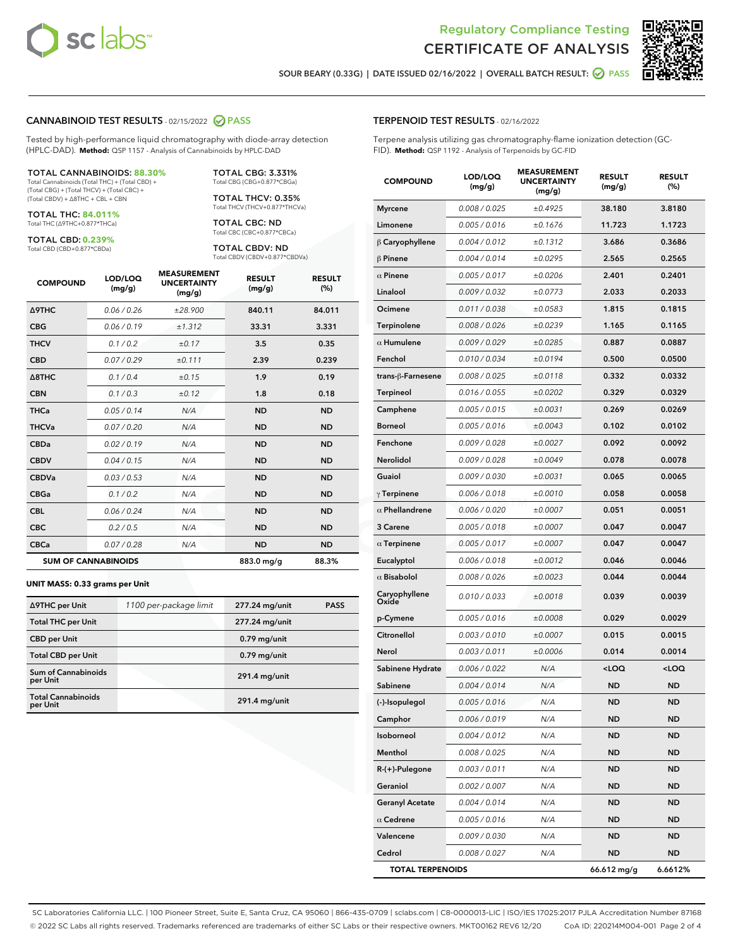

Terpene analysis utilizing gas chromatography-flame ionization detection (GC-



п

SOUR BEARY (0.33G) | DATE ISSUED 02/16/2022 | OVERALL BATCH RESULT: **○** PASS

TERPENOID TEST RESULTS - 02/16/2022

FID). **Method:** QSP 1192 - Analysis of Terpenoids by GC-FID

## CANNABINOID TEST RESULTS - 02/15/2022 2 PASS

Tested by high-performance liquid chromatography with diode-array detection (HPLC-DAD). **Method:** QSP 1157 - Analysis of Cannabinoids by HPLC-DAD

#### TOTAL CANNABINOIDS: **88.30%**

Total Cannabinoids (Total THC) + (Total CBD) + (Total CBG) + (Total THCV) + (Total CBC) + (Total CBDV) + ∆8THC + CBL + CBN

TOTAL THC: **84.011%** Total THC (∆9THC+0.877\*THCa)

TOTAL CBD: **0.239%**

Total CBD (CBD+0.877\*CBDa)

TOTAL CBG: 3.331% Total CBG (CBG+0.877\*CBGa)

TOTAL THCV: 0.35% Total THCV (THCV+0.877\*THCVa)

TOTAL CBC: ND Total CBC (CBC+0.877\*CBCa)

TOTAL CBDV: ND Total CBDV (CBDV+0.877\*CBDVa)

| <b>COMPOUND</b>            | LOD/LOQ<br>(mg/g) | <b>MEASUREMENT</b><br><b>UNCERTAINTY</b><br>(mg/g) | <b>RESULT</b><br>(mg/g) | <b>RESULT</b><br>(%) |
|----------------------------|-------------------|----------------------------------------------------|-------------------------|----------------------|
| <b>A9THC</b>               | 0.06 / 0.26       | ±28.900                                            | 840.11                  | 84.011               |
| <b>CBG</b>                 | 0.06 / 0.19       | ±1.312                                             | 33.31                   | 3.331                |
| <b>THCV</b>                | 0.1 / 0.2         | ±0.17                                              | 3.5                     | 0.35                 |
| <b>CBD</b>                 | 0.07/0.29         | ±0.111                                             | 2.39                    | 0.239                |
| $\triangle$ 8THC           | 0.1 / 0.4         | ±0.15                                              | 1.9                     | 0.19                 |
| <b>CBN</b>                 | 0.1 / 0.3         | ±0.12                                              | 1.8                     | 0.18                 |
| <b>THCa</b>                | 0.05/0.14         | N/A                                                | <b>ND</b>               | <b>ND</b>            |
| <b>THCVa</b>               | 0.07/0.20         | N/A                                                | <b>ND</b>               | <b>ND</b>            |
| <b>CBDa</b>                | 0.02/0.19         | N/A                                                | <b>ND</b>               | <b>ND</b>            |
| <b>CBDV</b>                | 0.04 / 0.15       | N/A                                                | <b>ND</b>               | <b>ND</b>            |
| <b>CBDVa</b>               | 0.03/0.53         | N/A                                                | <b>ND</b>               | <b>ND</b>            |
| <b>CBGa</b>                | 0.1/0.2           | N/A                                                | <b>ND</b>               | <b>ND</b>            |
| <b>CBL</b>                 | 0.06 / 0.24       | N/A                                                | <b>ND</b>               | <b>ND</b>            |
| <b>CBC</b>                 | 0.2 / 0.5         | N/A                                                | <b>ND</b>               | <b>ND</b>            |
| <b>CBCa</b>                | 0.07/0.28         | N/A                                                | <b>ND</b>               | <b>ND</b>            |
| <b>SUM OF CANNABINOIDS</b> |                   |                                                    | 883.0 mg/g              | 88.3%                |

#### **UNIT MASS: 0.33 grams per Unit**

| ∆9THC per Unit                         | 1100 per-package limit | 277.24 mg/unit  | <b>PASS</b> |
|----------------------------------------|------------------------|-----------------|-------------|
| <b>Total THC per Unit</b>              |                        | 277.24 mg/unit  |             |
| <b>CBD</b> per Unit                    |                        | $0.79$ mg/unit  |             |
| <b>Total CBD per Unit</b>              |                        | $0.79$ mg/unit  |             |
| <b>Sum of Cannabinoids</b><br>per Unit |                        | 291.4 mg/unit   |             |
| <b>Total Cannabinoids</b><br>per Unit  |                        | $291.4$ mg/unit |             |

| <b>COMPOUND</b>         | LOD/LOQ<br>(mg/g) | <b>MEASUREMENT</b><br><b>UNCERTAINTY</b><br>(mg/g) | <b>RESULT</b><br>(mg/g)                         | <b>RESULT</b><br>(%) |
|-------------------------|-------------------|----------------------------------------------------|-------------------------------------------------|----------------------|
| <b>Myrcene</b>          | 0.008 / 0.025     | ±0.4925                                            | 38.180                                          | 3.8180               |
| Limonene                | 0.005 / 0.016     | ±0.1676                                            | 11.723                                          | 1.1723               |
| $\beta$ Caryophyllene   | 0.004 / 0.012     | ±0.1312                                            | 3.686                                           | 0.3686               |
| $\beta$ Pinene          | 0.004 / 0.014     | ±0.0295                                            | 2.565                                           | 0.2565               |
| $\alpha$ Pinene         | 0.005 / 0.017     | ±0.0206                                            | 2.401                                           | 0.2401               |
| Linalool                | 0.009 / 0.032     | ±0.0773                                            | 2.033                                           | 0.2033               |
| Ocimene                 | 0.011 / 0.038     | ±0.0583                                            | 1.815                                           | 0.1815               |
| Terpinolene             | 0.008 / 0.026     | ±0.0239                                            | 1.165                                           | 0.1165               |
| $\alpha$ Humulene       | 0.009 / 0.029     | ±0.0285                                            | 0.887                                           | 0.0887               |
| Fenchol                 | 0.010 / 0.034     | ±0.0194                                            | 0.500                                           | 0.0500               |
| trans-ß-Farnesene       | 0.008 / 0.025     | ±0.0118                                            | 0.332                                           | 0.0332               |
| Terpineol               | 0.016 / 0.055     | ±0.0202                                            | 0.329                                           | 0.0329               |
| Camphene                | 0.005 / 0.015     | ±0.0031                                            | 0.269                                           | 0.0269               |
| <b>Borneol</b>          | 0.005 / 0.016     | ±0.0043                                            | 0.102                                           | 0.0102               |
| Fenchone                | 0.009 / 0.028     | ±0.0027                                            | 0.092                                           | 0.0092               |
| <b>Nerolidol</b>        | 0.009 / 0.028     | ±0.0049                                            | 0.078                                           | 0.0078               |
| Guaiol                  | 0.009 / 0.030     | ±0.0031                                            | 0.065                                           | 0.0065               |
| $\gamma$ Terpinene      | 0.006 / 0.018     | ±0.0010                                            | 0.058                                           | 0.0058               |
| $\alpha$ Phellandrene   | 0.006 / 0.020     | ±0.0007                                            | 0.051                                           | 0.0051               |
| 3 Carene                | 0.005 / 0.018     | ±0.0007                                            | 0.047                                           | 0.0047               |
| $\alpha$ Terpinene      | 0.005 / 0.017     | ±0.0007                                            | 0.047                                           | 0.0047               |
| Eucalyptol              | 0.006 / 0.018     | ±0.0012                                            | 0.046                                           | 0.0046               |
| $\alpha$ Bisabolol      | 0.008 / 0.026     | ±0.0023                                            | 0.044                                           | 0.0044               |
| Caryophyllene<br>Oxide  | 0.010 / 0.033     | ±0.0018                                            | 0.039                                           | 0.0039               |
| p-Cymene                | 0.005 / 0.016     | ±0.0008                                            | 0.029                                           | 0.0029               |
| Citronellol             | 0.003 / 0.010     | ±0.0007                                            | 0.015                                           | 0.0015               |
| Nerol                   | 0.003 / 0.011     | ±0.0006                                            | 0.014                                           | 0.0014               |
| Sabinene Hydrate        | 0.006 / 0.022     | N/A                                                | <loq< th=""><th><loq< th=""></loq<></th></loq<> | <loq< th=""></loq<>  |
| Sabinene                | 0.004 / 0.014     | N/A                                                | ND                                              | <b>ND</b>            |
| (-)-Isopulegol          | 0.005 / 0.016     | N/A                                                | <b>ND</b>                                       | ND                   |
| Camphor                 | 0.006 / 0.019     | N/A                                                | ND                                              | ND                   |
| Isoborneol              | 0.004 / 0.012     | N/A                                                | ND                                              | ND                   |
| Menthol                 | 0.008 / 0.025     | N/A                                                | ND                                              | ND                   |
| $R-(+)$ -Pulegone       | 0.003 / 0.011     | N/A                                                | ND                                              | ND                   |
| Geraniol                | 0.002 / 0.007     | N/A                                                | ND                                              | ND                   |
| <b>Geranyl Acetate</b>  | 0.004 / 0.014     | N/A                                                | ND                                              | ND                   |
| $\alpha$ Cedrene        | 0.005 / 0.016     | N/A                                                | ND                                              | ND                   |
| Valencene               | 0.009 / 0.030     | N/A                                                | ND                                              | ND                   |
| Cedrol                  | 0.008 / 0.027     | N/A                                                | ND                                              | ND                   |
| <b>TOTAL TERPENOIDS</b> |                   |                                                    | 66.612 mg/g                                     | 6.6612%              |

SC Laboratories California LLC. | 100 Pioneer Street, Suite E, Santa Cruz, CA 95060 | 866-435-0709 | sclabs.com | C8-0000013-LIC | ISO/IES 17025:2017 PJLA Accreditation Number 87168 © 2022 SC Labs all rights reserved. Trademarks referenced are trademarks of either SC Labs or their respective owners. MKT00162 REV6 12/20 CoA ID: 220214M004-001 Page 2 of 4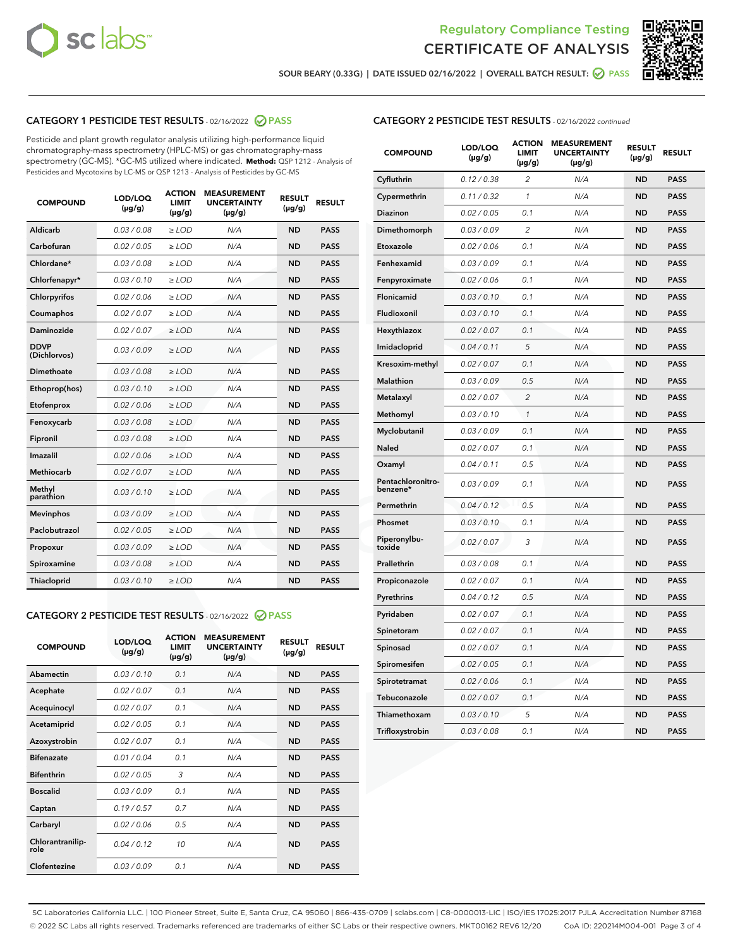



SOUR BEARY (0.33G) | DATE ISSUED 02/16/2022 | OVERALL BATCH RESULT:  $\bigotimes$  PASS

# CATEGORY 1 PESTICIDE TEST RESULTS - 02/16/2022 2 PASS

Pesticide and plant growth regulator analysis utilizing high-performance liquid chromatography-mass spectrometry (HPLC-MS) or gas chromatography-mass spectrometry (GC-MS). \*GC-MS utilized where indicated. **Method:** QSP 1212 - Analysis of Pesticides and Mycotoxins by LC-MS or QSP 1213 - Analysis of Pesticides by GC-MS

| <b>COMPOUND</b>             | LOD/LOQ<br>$(\mu g/g)$ | <b>ACTION</b><br><b>LIMIT</b><br>$(\mu g/g)$ | <b>MEASUREMENT</b><br><b>UNCERTAINTY</b><br>$(\mu g/g)$ | <b>RESULT</b><br>$(\mu g/g)$ | <b>RESULT</b> |
|-----------------------------|------------------------|----------------------------------------------|---------------------------------------------------------|------------------------------|---------------|
| Aldicarb                    | 0.03 / 0.08            | $\geq$ LOD                                   | N/A                                                     | <b>ND</b>                    | <b>PASS</b>   |
| Carbofuran                  | 0.02/0.05              | $>$ LOD                                      | N/A                                                     | <b>ND</b>                    | <b>PASS</b>   |
| Chlordane*                  | 0.03 / 0.08            | $\ge$ LOD                                    | N/A                                                     | <b>ND</b>                    | <b>PASS</b>   |
| Chlorfenapyr*               | 0.03/0.10              | $>$ LOD                                      | N/A                                                     | <b>ND</b>                    | <b>PASS</b>   |
| Chlorpyrifos                | 0.02 / 0.06            | $\ge$ LOD                                    | N/A                                                     | <b>ND</b>                    | <b>PASS</b>   |
| Coumaphos                   | 0.02 / 0.07            | $\ge$ LOD                                    | N/A                                                     | <b>ND</b>                    | <b>PASS</b>   |
| Daminozide                  | 0.02 / 0.07            | $\ge$ LOD                                    | N/A                                                     | <b>ND</b>                    | <b>PASS</b>   |
| <b>DDVP</b><br>(Dichlorvos) | 0.03/0.09              | $\ge$ LOD                                    | N/A                                                     | <b>ND</b>                    | <b>PASS</b>   |
| Dimethoate                  | 0.03/0.08              | $>$ LOD                                      | N/A                                                     | <b>ND</b>                    | <b>PASS</b>   |
| Ethoprop(hos)               | 0.03/0.10              | $\ge$ LOD                                    | N/A                                                     | <b>ND</b>                    | <b>PASS</b>   |
| Etofenprox                  | 0.02 / 0.06            | $\ge$ LOD                                    | N/A                                                     | <b>ND</b>                    | <b>PASS</b>   |
| Fenoxycarb                  | 0.03 / 0.08            | $\ge$ LOD                                    | N/A                                                     | <b>ND</b>                    | <b>PASS</b>   |
| Fipronil                    | 0.03/0.08              | $>$ LOD                                      | N/A                                                     | <b>ND</b>                    | <b>PASS</b>   |
| Imazalil                    | 0.02 / 0.06            | $\ge$ LOD                                    | N/A                                                     | <b>ND</b>                    | <b>PASS</b>   |
| <b>Methiocarb</b>           | 0.02 / 0.07            | $\ge$ LOD                                    | N/A                                                     | <b>ND</b>                    | <b>PASS</b>   |
| Methyl<br>parathion         | 0.03/0.10              | $\ge$ LOD                                    | N/A                                                     | <b>ND</b>                    | <b>PASS</b>   |
| <b>Mevinphos</b>            | 0.03/0.09              | $>$ LOD                                      | N/A                                                     | <b>ND</b>                    | <b>PASS</b>   |
| Paclobutrazol               | 0.02 / 0.05            | $\ge$ LOD                                    | N/A                                                     | <b>ND</b>                    | <b>PASS</b>   |
| Propoxur                    | 0.03/0.09              | $\ge$ LOD                                    | N/A                                                     | <b>ND</b>                    | <b>PASS</b>   |
| Spiroxamine                 | 0.03 / 0.08            | $\ge$ LOD                                    | N/A                                                     | <b>ND</b>                    | <b>PASS</b>   |
| Thiacloprid                 | 0.03/0.10              | $\ge$ LOD                                    | N/A                                                     | <b>ND</b>                    | <b>PASS</b>   |

### CATEGORY 2 PESTICIDE TEST RESULTS - 02/16/2022 2 PASS

| <b>COMPOUND</b>          | LOD/LOO<br>$(\mu g/g)$ | <b>ACTION</b><br>LIMIT<br>$(\mu g/g)$ | <b>MEASUREMENT</b><br><b>UNCERTAINTY</b><br>$(\mu g/g)$ | <b>RESULT</b><br>$(\mu g/g)$ | <b>RESULT</b> |  |
|--------------------------|------------------------|---------------------------------------|---------------------------------------------------------|------------------------------|---------------|--|
| Abamectin                | 0.03/0.10              | 0.1                                   | N/A                                                     | <b>ND</b>                    | <b>PASS</b>   |  |
| Acephate                 | 0.02/0.07              | 0.1                                   | N/A                                                     | <b>ND</b>                    | <b>PASS</b>   |  |
| Acequinocyl              | 0.02/0.07              | 0.1                                   | N/A                                                     | <b>ND</b>                    | <b>PASS</b>   |  |
| Acetamiprid              | 0.02 / 0.05            | 0.1                                   | N/A                                                     | <b>ND</b>                    | <b>PASS</b>   |  |
| Azoxystrobin             | 0.02/0.07              | 0.1                                   | N/A                                                     | <b>ND</b>                    | <b>PASS</b>   |  |
| <b>Bifenazate</b>        | 0.01 / 0.04            | 0.1                                   | N/A                                                     | <b>ND</b>                    | <b>PASS</b>   |  |
| <b>Bifenthrin</b>        | 0.02 / 0.05            | 3                                     | N/A                                                     | <b>ND</b>                    | <b>PASS</b>   |  |
| <b>Boscalid</b>          | 0.03/0.09              | 0.1                                   | N/A                                                     | <b>ND</b>                    | <b>PASS</b>   |  |
| Captan                   | 0.19/0.57              | 0.7                                   | N/A                                                     | <b>ND</b>                    | <b>PASS</b>   |  |
| Carbaryl                 | 0.02/0.06              | 0.5                                   | N/A                                                     | <b>ND</b>                    | <b>PASS</b>   |  |
| Chlorantranilip-<br>role | 0.04/0.12              | 10                                    | N/A                                                     | <b>ND</b>                    | <b>PASS</b>   |  |
| Clofentezine             | 0.03/0.09              | 0.1                                   | N/A                                                     | <b>ND</b>                    | <b>PASS</b>   |  |

| <b>COMPOUND</b>               | LOD/LOQ<br>(µg/g) | <b>ACTION</b><br>LIMIT<br>$(\mu g/g)$ | <b>MEASUREMENT</b><br><b>UNCERTAINTY</b><br>$(\mu g/g)$ | <b>RESULT</b><br>(µg/g) | <b>RESULT</b> |
|-------------------------------|-------------------|---------------------------------------|---------------------------------------------------------|-------------------------|---------------|
| Cyfluthrin                    | 0.12 / 0.38       | 2                                     | N/A                                                     | <b>ND</b>               | <b>PASS</b>   |
| Cypermethrin                  | 0.11 / 0.32       | 1                                     | N/A                                                     | <b>ND</b>               | <b>PASS</b>   |
| Diazinon                      | 0.02 / 0.05       | 0.1                                   | N/A                                                     | ND                      | PASS          |
| Dimethomorph                  | 0.03 / 0.09       | 2                                     | N/A                                                     | <b>ND</b>               | <b>PASS</b>   |
| Etoxazole                     | 0.02 / 0.06       | 0.1                                   | N/A                                                     | ND                      | <b>PASS</b>   |
| Fenhexamid                    | 0.03 / 0.09       | 0.1                                   | N/A                                                     | ND                      | <b>PASS</b>   |
| Fenpyroximate                 | 0.02 / 0.06       | 0.1                                   | N/A                                                     | <b>ND</b>               | <b>PASS</b>   |
| Flonicamid                    | 0.03 / 0.10       | 0.1                                   | N/A                                                     | <b>ND</b>               | <b>PASS</b>   |
| Fludioxonil                   | 0.03 / 0.10       | 0.1                                   | N/A                                                     | <b>ND</b>               | <b>PASS</b>   |
| Hexythiazox                   | 0.02 / 0.07       | 0.1                                   | N/A                                                     | ND                      | <b>PASS</b>   |
| Imidacloprid                  | 0.04 / 0.11       | 5                                     | N/A                                                     | <b>ND</b>               | <b>PASS</b>   |
| Kresoxim-methyl               | 0.02 / 0.07       | 0.1                                   | N/A                                                     | ND                      | <b>PASS</b>   |
| Malathion                     | 0.03 / 0.09       | 0.5                                   | N/A                                                     | ND                      | <b>PASS</b>   |
| Metalaxyl                     | 0.02 / 0.07       | $\overline{2}$                        | N/A                                                     | <b>ND</b>               | <b>PASS</b>   |
| Methomyl                      | 0.03 / 0.10       | 1                                     | N/A                                                     | <b>ND</b>               | <b>PASS</b>   |
| Myclobutanil                  | 0.03 / 0.09       | 0.1                                   | N/A                                                     | ND                      | <b>PASS</b>   |
| <b>Naled</b>                  | 0.02 / 0.07       | 0.1                                   | N/A                                                     | ND                      | <b>PASS</b>   |
| Oxamyl                        | 0.04 / 0.11       | 0.5                                   | N/A                                                     | ND                      | <b>PASS</b>   |
| Pentachloronitro-<br>benzene* | 0.03/0.09         | 0.1                                   | N/A                                                     | ND                      | <b>PASS</b>   |
| Permethrin                    | 0.04 / 0.12       | 0.5                                   | N/A                                                     | ND                      | <b>PASS</b>   |
| Phosmet                       | 0.03 / 0.10       | 0.1                                   | N/A                                                     | <b>ND</b>               | <b>PASS</b>   |
| Piperonylbu-<br>toxide        | 0.02 / 0.07       | 3                                     | N/A                                                     | ND                      | <b>PASS</b>   |
| Prallethrin                   | 0.03 / 0.08       | 0.1                                   | N/A                                                     | <b>ND</b>               | <b>PASS</b>   |
| Propiconazole                 | 0.02 / 0.07       | 0.1                                   | N/A                                                     | ND                      | <b>PASS</b>   |
| Pyrethrins                    | 0.04 / 0.12       | 0.5                                   | N/A                                                     | ND                      | <b>PASS</b>   |
| Pyridaben                     | 0.02 / 0.07       | 0.1                                   | N/A                                                     | ND                      | <b>PASS</b>   |
| Spinetoram                    | 0.02 / 0.07       | 0.1                                   | N/A                                                     | ND                      | <b>PASS</b>   |
| Spinosad                      | 0.02 / 0.07       | 0.1                                   | N/A                                                     | ND                      | <b>PASS</b>   |
| Spiromesifen                  | 0.02 / 0.05       | 0.1                                   | N/A                                                     | ND                      | <b>PASS</b>   |
| Spirotetramat                 | 0.02 / 0.06       | 0.1                                   | N/A                                                     | ND                      | <b>PASS</b>   |
| Tebuconazole                  | 0.02 / 0.07       | 0.1                                   | N/A                                                     | ND                      | <b>PASS</b>   |
| Thiamethoxam                  | 0.03 / 0.10       | 5                                     | N/A                                                     | ND                      | <b>PASS</b>   |
| Trifloxystrobin               | 0.03 / 0.08       | 0.1                                   | N/A                                                     | ND                      | <b>PASS</b>   |

SC Laboratories California LLC. | 100 Pioneer Street, Suite E, Santa Cruz, CA 95060 | 866-435-0709 | sclabs.com | C8-0000013-LIC | ISO/IES 17025:2017 PJLA Accreditation Number 87168 © 2022 SC Labs all rights reserved. Trademarks referenced are trademarks of either SC Labs or their respective owners. MKT00162 REV6 12/20 CoA ID: 220214M004-001 Page 3 of 4